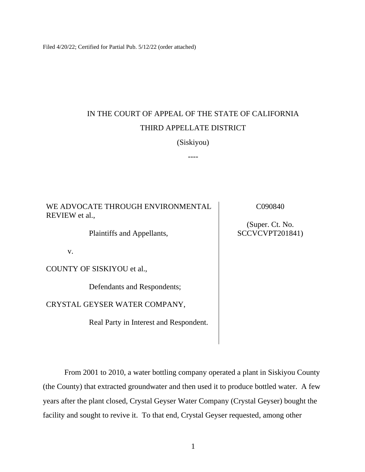Filed 4/20/22; Certified for Partial Pub. 5/12/22 (order attached)

## IN THE COURT OF APPEAL OF THE STATE OF CALIFORNIA THIRD APPELLATE DISTRICT

(Siskiyou)

----

WE ADVOCATE THROUGH ENVIRONMENTAL REVIEW et al.,

C090840

Plaintiffs and Appellants,

v.

COUNTY OF SISKIYOU et al.,

Defendants and Respondents;

CRYSTAL GEYSER WATER COMPANY,

Real Party in Interest and Respondent.

(Super. Ct. No. SCCVCVPT201841)

From 2001 to 2010, a water bottling company operated a plant in Siskiyou County (the County) that extracted groundwater and then used it to produce bottled water. A few years after the plant closed, Crystal Geyser Water Company (Crystal Geyser) bought the facility and sought to revive it. To that end, Crystal Geyser requested, among other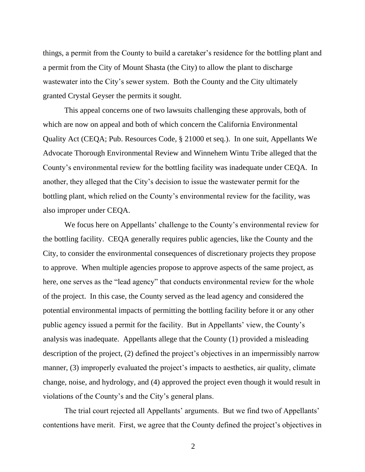things, a permit from the County to build a caretaker's residence for the bottling plant and a permit from the City of Mount Shasta (the City) to allow the plant to discharge wastewater into the City's sewer system. Both the County and the City ultimately granted Crystal Geyser the permits it sought.

This appeal concerns one of two lawsuits challenging these approvals, both of which are now on appeal and both of which concern the California Environmental Quality Act (CEQA; Pub. Resources Code, § 21000 et seq.). In one suit, Appellants We Advocate Thorough Environmental Review and Winnehem Wintu Tribe alleged that the County's environmental review for the bottling facility was inadequate under CEQA. In another, they alleged that the City's decision to issue the wastewater permit for the bottling plant, which relied on the County's environmental review for the facility, was also improper under CEQA.

We focus here on Appellants' challenge to the County's environmental review for the bottling facility. CEQA generally requires public agencies, like the County and the City, to consider the environmental consequences of discretionary projects they propose to approve. When multiple agencies propose to approve aspects of the same project, as here, one serves as the "lead agency" that conducts environmental review for the whole of the project. In this case, the County served as the lead agency and considered the potential environmental impacts of permitting the bottling facility before it or any other public agency issued a permit for the facility. But in Appellants' view, the County's analysis was inadequate. Appellants allege that the County (1) provided a misleading description of the project, (2) defined the project's objectives in an impermissibly narrow manner, (3) improperly evaluated the project's impacts to aesthetics, air quality, climate change, noise, and hydrology, and (4) approved the project even though it would result in violations of the County's and the City's general plans.

The trial court rejected all Appellants' arguments. But we find two of Appellants' contentions have merit. First, we agree that the County defined the project's objectives in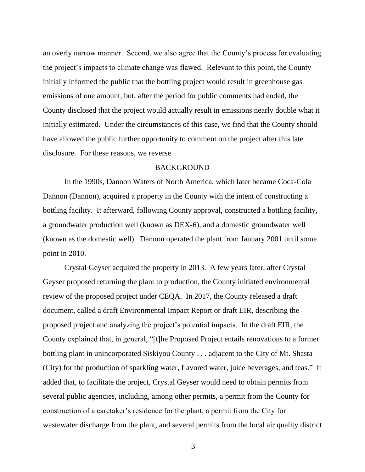an overly narrow manner. Second, we also agree that the County's process for evaluating the project's impacts to climate change was flawed. Relevant to this point, the County initially informed the public that the bottling project would result in greenhouse gas emissions of one amount, but, after the period for public comments had ended, the County disclosed that the project would actually result in emissions nearly double what it initially estimated. Under the circumstances of this case, we find that the County should have allowed the public further opportunity to comment on the project after this late disclosure. For these reasons, we reverse.

#### BACKGROUND

In the 1990s, Dannon Waters of North America, which later became Coca-Cola Dannon (Dannon), acquired a property in the County with the intent of constructing a bottling facility. It afterward, following County approval, constructed a bottling facility, a groundwater production well (known as DEX-6), and a domestic groundwater well (known as the domestic well). Dannon operated the plant from January 2001 until some point in 2010.

Crystal Geyser acquired the property in 2013. A few years later, after Crystal Geyser proposed returning the plant to production, the County initiated environmental review of the proposed project under CEQA. In 2017, the County released a draft document, called a draft Environmental Impact Report or draft EIR, describing the proposed project and analyzing the project's potential impacts. In the draft EIR, the County explained that, in general, "[t]he Proposed Project entails renovations to a former bottling plant in unincorporated Siskiyou County . . . adjacent to the City of Mt. Shasta (City) for the production of sparkling water, flavored water, juice beverages, and teas." It added that, to facilitate the project, Crystal Geyser would need to obtain permits from several public agencies, including, among other permits, a permit from the County for construction of a caretaker's residence for the plant, a permit from the City for wastewater discharge from the plant, and several permits from the local air quality district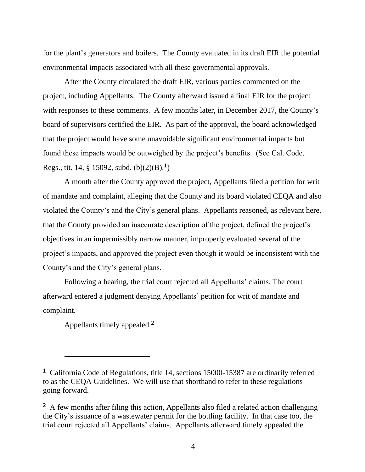for the plant's generators and boilers. The County evaluated in its draft EIR the potential environmental impacts associated with all these governmental approvals.

After the County circulated the draft EIR, various parties commented on the project, including Appellants. The County afterward issued a final EIR for the project with responses to these comments. A few months later, in December 2017, the County's board of supervisors certified the EIR. As part of the approval, the board acknowledged that the project would have some unavoidable significant environmental impacts but found these impacts would be outweighed by the project's benefits. (See Cal. Code. Regs., tit. 14, § 15092, subd. (b)(2)(B).**<sup>1</sup>** )

A month after the County approved the project, Appellants filed a petition for writ of mandate and complaint, alleging that the County and its board violated CEQA and also violated the County's and the City's general plans. Appellants reasoned, as relevant here, that the County provided an inaccurate description of the project, defined the project's objectives in an impermissibly narrow manner, improperly evaluated several of the project's impacts, and approved the project even though it would be inconsistent with the County's and the City's general plans.

Following a hearing, the trial court rejected all Appellants' claims. The court afterward entered a judgment denying Appellants' petition for writ of mandate and complaint.

Appellants timely appealed.**<sup>2</sup>**

**<sup>1</sup>** California Code of Regulations, title 14, sections 15000-15387 are ordinarily referred to as the CEQA Guidelines. We will use that shorthand to refer to these regulations going forward.

**<sup>2</sup>** A few months after filing this action, Appellants also filed a related action challenging the City's issuance of a wastewater permit for the bottling facility. In that case too, the trial court rejected all Appellants' claims. Appellants afterward timely appealed the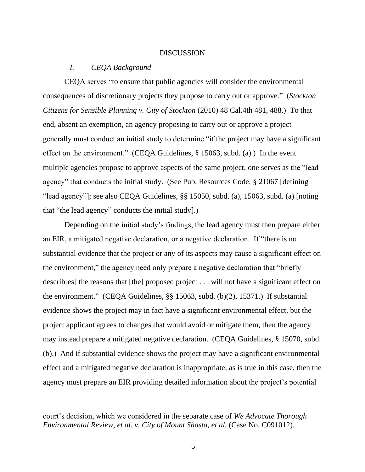#### DISCUSSION

## *I. CEQA Background*

CEQA serves "to ensure that public agencies will consider the environmental consequences of discretionary projects they propose to carry out or approve." (*Stockton Citizens for Sensible Planning v. City of Stockton* (2010) 48 Cal.4th 481, 488.) To that end, absent an exemption, an agency proposing to carry out or approve a project generally must conduct an initial study to determine "if the project may have a significant effect on the environment." (CEQA Guidelines, § 15063, subd. (a).) In the event multiple agencies propose to approve aspects of the same project, one serves as the "lead agency" that conducts the initial study. (See Pub. Resources Code, § 21067 [defining "lead agency"]; see also CEQA Guidelines, §§ 15050, subd. (a), 15063, subd. (a) [noting that "the lead agency" conducts the initial study].)

Depending on the initial study's findings, the lead agency must then prepare either an EIR, a mitigated negative declaration, or a negative declaration. If "there is no substantial evidence that the project or any of its aspects may cause a significant effect on the environment," the agency need only prepare a negative declaration that "briefly describ[es] the reasons that [the] proposed project . . . will not have a significant effect on the environment." (CEQA Guidelines, §§ 15063, subd. (b)(2), 15371.) If substantial evidence shows the project may in fact have a significant environmental effect, but the project applicant agrees to changes that would avoid or mitigate them, then the agency may instead prepare a mitigated negative declaration. (CEQA Guidelines, § 15070, subd. (b).) And if substantial evidence shows the project may have a significant environmental effect and a mitigated negative declaration is inappropriate, as is true in this case, then the agency must prepare an EIR providing detailed information about the project's potential

court's decision, which we considered in the separate case of *We Advocate Thorough Environmental Review, et al. v. City of Mount Shasta, et al.* (Case No. C091012).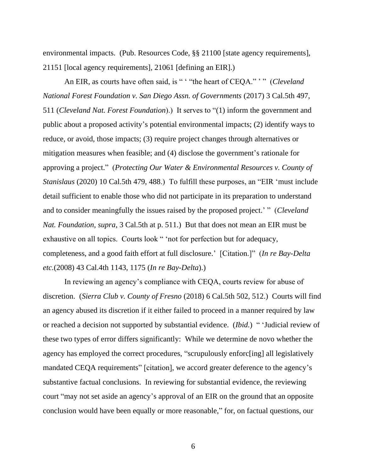environmental impacts. (Pub. Resources Code, §§ 21100 [state agency requirements], 21151 [local agency requirements], 21061 [defining an EIR].)

An EIR, as courts have often said, is " ' "the heart of CEQA." ' " (*Cleveland National Forest Foundation v. San Diego Assn. of Governments* (2017) 3 Cal.5th 497, 511 (*Cleveland Nat. Forest Foundation*).) It serves to "(1) inform the government and public about a proposed activity's potential environmental impacts; (2) identify ways to reduce, or avoid, those impacts; (3) require project changes through alternatives or mitigation measures when feasible; and (4) disclose the government's rationale for approving a project." (*Protecting Our Water & Environmental Resources v. County of Stanislaus* (2020) 10 Cal.5th 479, 488.) To fulfill these purposes, an "EIR 'must include detail sufficient to enable those who did not participate in its preparation to understand and to consider meaningfully the issues raised by the proposed project.' " (*Cleveland Nat. Foundation, supra*, 3 Cal.5th at p. 511.) But that does not mean an EIR must be exhaustive on all topics. Courts look " 'not for perfection but for adequacy, completeness, and a good faith effort at full disclosure.' [Citation.]" (*In re Bay-Delta etc.*(2008) 43 Cal.4th 1143, 1175 (*In re Bay-Delta*).)

In reviewing an agency's compliance with CEQA, courts review for abuse of discretion. (*Sierra Club v. County of Fresno* (2018) 6 Cal.5th 502, 512.) Courts will find an agency abused its discretion if it either failed to proceed in a manner required by law or reached a decision not supported by substantial evidence. (*Ibid.*) " 'Judicial review of these two types of error differs significantly: While we determine de novo whether the agency has employed the correct procedures, "scrupulously enforc[ing] all legislatively mandated CEQA requirements" [citation], we accord greater deference to the agency's substantive factual conclusions. In reviewing for substantial evidence, the reviewing court "may not set aside an agency's approval of an EIR on the ground that an opposite conclusion would have been equally or more reasonable," for, on factual questions, our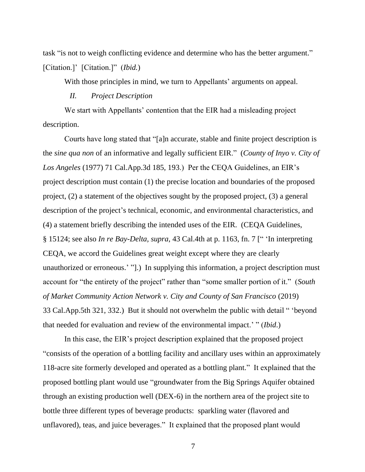task "is not to weigh conflicting evidence and determine who has the better argument." [Citation.]' [Citation.]" (*Ibid.*)

With those principles in mind, we turn to Appellants' arguments on appeal.

## *II. Project Description*

We start with Appellants' contention that the EIR had a misleading project description.

Courts have long stated that "[a]n accurate, stable and finite project description is the *sine qua non* of an informative and legally sufficient EIR." (*County of Inyo v. City of Los Angeles* (1977) 71 Cal.App.3d 185, 193.) Per the CEQA Guidelines, an EIR's project description must contain (1) the precise location and boundaries of the proposed project, (2) a statement of the objectives sought by the proposed project, (3) a general description of the project's technical, economic, and environmental characteristics, and (4) a statement briefly describing the intended uses of the EIR. (CEQA Guidelines, § 15124; see also *In re Bay-Delta, supra*, 43 Cal.4th at p. 1163, fn. 7 [" 'In interpreting CEQA, we accord the Guidelines great weight except where they are clearly unauthorized or erroneous.' "].) In supplying this information, a project description must account for "the entirety of the project" rather than "some smaller portion of it." (*South of Market Community Action Network v. City and County of San Francisco* (2019) 33 Cal.App.5th 321, 332.) But it should not overwhelm the public with detail " 'beyond that needed for evaluation and review of the environmental impact.' " (*Ibid*.)

In this case, the EIR's project description explained that the proposed project "consists of the operation of a bottling facility and ancillary uses within an approximately 118-acre site formerly developed and operated as a bottling plant." It explained that the proposed bottling plant would use "groundwater from the Big Springs Aquifer obtained through an existing production well (DEX-6) in the northern area of the project site to bottle three different types of beverage products: sparkling water (flavored and unflavored), teas, and juice beverages." It explained that the proposed plant would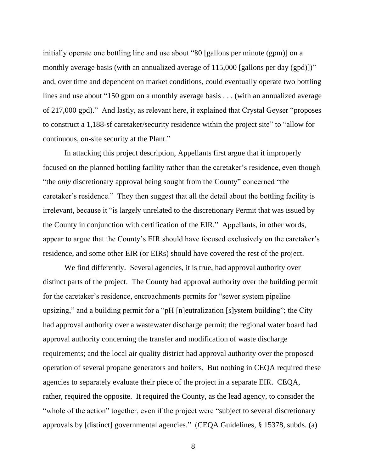initially operate one bottling line and use about "80 [gallons per minute (gpm)] on a monthly average basis (with an annualized average of 115,000 [gallons per day (gpd)])" and, over time and dependent on market conditions, could eventually operate two bottling lines and use about "150 gpm on a monthly average basis . . . (with an annualized average of 217,000 gpd)." And lastly, as relevant here, it explained that Crystal Geyser "proposes to construct a 1,188-sf caretaker/security residence within the project site" to "allow for continuous, on-site security at the Plant."

In attacking this project description, Appellants first argue that it improperly focused on the planned bottling facility rather than the caretaker's residence, even though "the *only* discretionary approval being sought from the County" concerned "the caretaker's residence." They then suggest that all the detail about the bottling facility is irrelevant, because it "is largely unrelated to the discretionary Permit that was issued by the County in conjunction with certification of the EIR." Appellants, in other words, appear to argue that the County's EIR should have focused exclusively on the caretaker's residence, and some other EIR (or EIRs) should have covered the rest of the project.

We find differently. Several agencies, it is true, had approval authority over distinct parts of the project. The County had approval authority over the building permit for the caretaker's residence, encroachments permits for "sewer system pipeline upsizing," and a building permit for a "pH [n]eutralization [s]ystem building"; the City had approval authority over a wastewater discharge permit; the regional water board had approval authority concerning the transfer and modification of waste discharge requirements; and the local air quality district had approval authority over the proposed operation of several propane generators and boilers. But nothing in CEQA required these agencies to separately evaluate their piece of the project in a separate EIR. CEQA, rather, required the opposite. It required the County, as the lead agency, to consider the "whole of the action" together, even if the project were "subject to several discretionary approvals by [distinct] governmental agencies." (CEQA Guidelines, § 15378, subds. (a)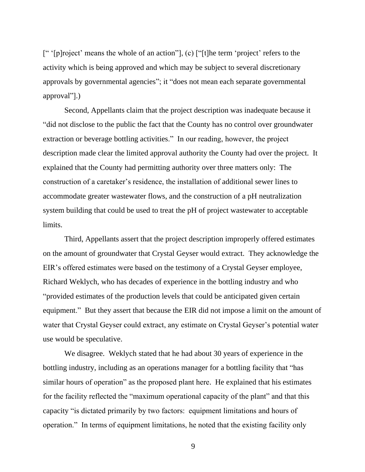[" '[p]roject' means the whole of an action"], (c) ["[t]he term 'project' refers to the activity which is being approved and which may be subject to several discretionary approvals by governmental agencies"; it "does not mean each separate governmental approval"].)

Second, Appellants claim that the project description was inadequate because it "did not disclose to the public the fact that the County has no control over groundwater extraction or beverage bottling activities." In our reading, however, the project description made clear the limited approval authority the County had over the project. It explained that the County had permitting authority over three matters only: The construction of a caretaker's residence, the installation of additional sewer lines to accommodate greater wastewater flows, and the construction of a pH neutralization system building that could be used to treat the pH of project wastewater to acceptable limits.

Third, Appellants assert that the project description improperly offered estimates on the amount of groundwater that Crystal Geyser would extract. They acknowledge the EIR's offered estimates were based on the testimony of a Crystal Geyser employee, Richard Weklych, who has decades of experience in the bottling industry and who "provided estimates of the production levels that could be anticipated given certain equipment." But they assert that because the EIR did not impose a limit on the amount of water that Crystal Geyser could extract, any estimate on Crystal Geyser's potential water use would be speculative.

We disagree. Weklych stated that he had about 30 years of experience in the bottling industry, including as an operations manager for a bottling facility that "has similar hours of operation" as the proposed plant here. He explained that his estimates for the facility reflected the "maximum operational capacity of the plant" and that this capacity "is dictated primarily by two factors: equipment limitations and hours of operation." In terms of equipment limitations, he noted that the existing facility only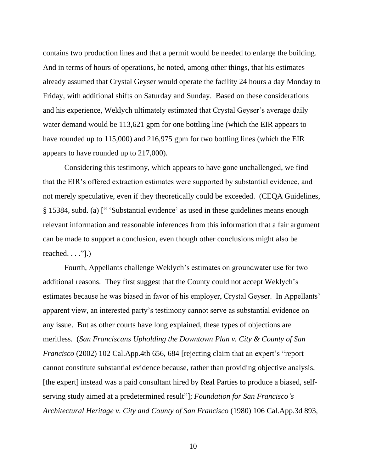contains two production lines and that a permit would be needed to enlarge the building. And in terms of hours of operations, he noted, among other things, that his estimates already assumed that Crystal Geyser would operate the facility 24 hours a day Monday to Friday, with additional shifts on Saturday and Sunday. Based on these considerations and his experience, Weklych ultimately estimated that Crystal Geyser's average daily water demand would be 113,621 gpm for one bottling line (which the EIR appears to have rounded up to 115,000) and 216,975 gpm for two bottling lines (which the EIR appears to have rounded up to 217,000).

Considering this testimony, which appears to have gone unchallenged, we find that the EIR's offered extraction estimates were supported by substantial evidence, and not merely speculative, even if they theoretically could be exceeded. (CEQA Guidelines, § 15384, subd. (a) [" 'Substantial evidence' as used in these guidelines means enough relevant information and reasonable inferences from this information that a fair argument can be made to support a conclusion, even though other conclusions might also be reached.  $\dots$ ".)

Fourth, Appellants challenge Weklych's estimates on groundwater use for two additional reasons. They first suggest that the County could not accept Weklych's estimates because he was biased in favor of his employer, Crystal Geyser. In Appellants' apparent view, an interested party's testimony cannot serve as substantial evidence on any issue. But as other courts have long explained, these types of objections are meritless. (*San Franciscans Upholding the Downtown Plan v. City & County of San Francisco* (2002) 102 Cal.App.4th 656, 684 [rejecting claim that an expert's "report cannot constitute substantial evidence because, rather than providing objective analysis, [the expert] instead was a paid consultant hired by Real Parties to produce a biased, selfserving study aimed at a predetermined result"]; *Foundation for San Francisco's Architectural Heritage v. City and County of San Francisco* (1980) 106 Cal.App.3d 893,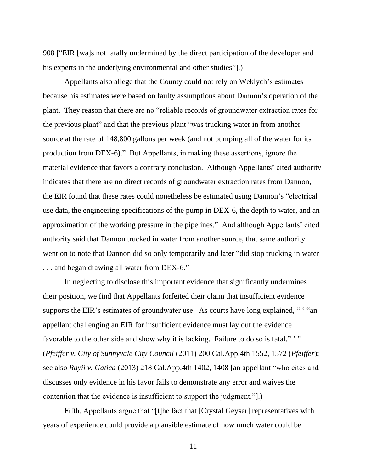908 ["EIR [wa]s not fatally undermined by the direct participation of the developer and his experts in the underlying environmental and other studies".)

Appellants also allege that the County could not rely on Weklych's estimates because his estimates were based on faulty assumptions about Dannon's operation of the plant. They reason that there are no "reliable records of groundwater extraction rates for the previous plant" and that the previous plant "was trucking water in from another source at the rate of 148,800 gallons per week (and not pumping all of the water for its production from DEX-6)." But Appellants, in making these assertions, ignore the material evidence that favors a contrary conclusion. Although Appellants' cited authority indicates that there are no direct records of groundwater extraction rates from Dannon, the EIR found that these rates could nonetheless be estimated using Dannon's "electrical use data, the engineering specifications of the pump in DEX-6, the depth to water, and an approximation of the working pressure in the pipelines." And although Appellants' cited authority said that Dannon trucked in water from another source, that same authority went on to note that Dannon did so only temporarily and later "did stop trucking in water . . . and began drawing all water from DEX-6."

In neglecting to disclose this important evidence that significantly undermines their position, we find that Appellants forfeited their claim that insufficient evidence supports the EIR's estimates of groundwater use. As courts have long explained, " "an appellant challenging an EIR for insufficient evidence must lay out the evidence favorable to the other side and show why it is lacking. Failure to do so is fatal."" (*Pfeiffer v. City of Sunnyvale City Council* (2011) 200 Cal.App.4th 1552, 1572 (*Pfeiffer*); see also *Rayii v. Gatica* (2013) 218 Cal.App.4th 1402, 1408 [an appellant "who cites and discusses only evidence in his favor fails to demonstrate any error and waives the contention that the evidence is insufficient to support the judgment."].)

Fifth, Appellants argue that "[t]he fact that [Crystal Geyser] representatives with years of experience could provide a plausible estimate of how much water could be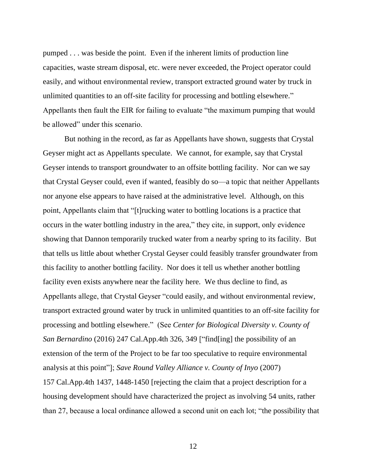pumped . . . was beside the point. Even if the inherent limits of production line capacities, waste stream disposal, etc. were never exceeded, the Project operator could easily, and without environmental review, transport extracted ground water by truck in unlimited quantities to an off-site facility for processing and bottling elsewhere." Appellants then fault the EIR for failing to evaluate "the maximum pumping that would be allowed" under this scenario.

But nothing in the record, as far as Appellants have shown, suggests that Crystal Geyser might act as Appellants speculate. We cannot, for example, say that Crystal Geyser intends to transport groundwater to an offsite bottling facility. Nor can we say that Crystal Geyser could, even if wanted, feasibly do so—a topic that neither Appellants nor anyone else appears to have raised at the administrative level. Although, on this point, Appellants claim that "[t]rucking water to bottling locations is a practice that occurs in the water bottling industry in the area," they cite, in support, only evidence showing that Dannon temporarily trucked water from a nearby spring to its facility. But that tells us little about whether Crystal Geyser could feasibly transfer groundwater from this facility to another bottling facility. Nor does it tell us whether another bottling facility even exists anywhere near the facility here. We thus decline to find, as Appellants allege, that Crystal Geyser "could easily, and without environmental review, transport extracted ground water by truck in unlimited quantities to an off-site facility for processing and bottling elsewhere." (See *Center for Biological Diversity v. County of San Bernardino* (2016) 247 Cal.App.4th 326, 349 ["find[ing] the possibility of an extension of the term of the Project to be far too speculative to require environmental analysis at this point"]; *Save Round Valley Alliance v. County of Inyo* (2007) 157 Cal.App.4th 1437, 1448-1450 [rejecting the claim that a project description for a housing development should have characterized the project as involving 54 units, rather than 27, because a local ordinance allowed a second unit on each lot; "the possibility that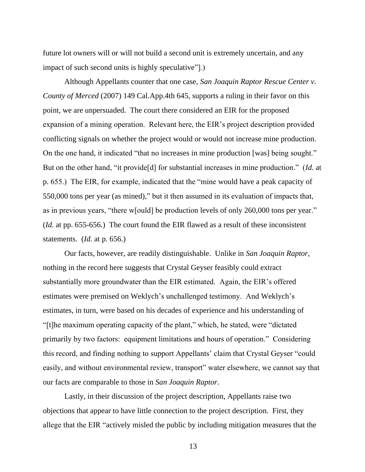future lot owners will or will not build a second unit is extremely uncertain, and any impact of such second units is highly speculative"].)

Although Appellants counter that one case, *San Joaquin Raptor Rescue Center v. County of Merced* (2007) 149 Cal.App.4th 645, supports a ruling in their favor on this point, we are unpersuaded. The court there considered an EIR for the proposed expansion of a mining operation. Relevant here, the EIR's project description provided conflicting signals on whether the project would or would not increase mine production. On the one hand, it indicated "that no increases in mine production [was] being sought." But on the other hand, "it provide[d] for substantial increases in mine production." (*Id.* at p. 655.) The EIR, for example, indicated that the "mine would have a peak capacity of 550,000 tons per year (as mined)," but it then assumed in its evaluation of impacts that, as in previous years, "there w[ould] be production levels of only 260,000 tons per year." (*Id.* at pp. 655-656.) The court found the EIR flawed as a result of these inconsistent statements. (*Id.* at p. 656.)

Our facts, however, are readily distinguishable. Unlike in *San Joaquin Raptor*, nothing in the record here suggests that Crystal Geyser feasibly could extract substantially more groundwater than the EIR estimated. Again, the EIR's offered estimates were premised on Weklych's unchallenged testimony. And Weklych's estimates, in turn, were based on his decades of experience and his understanding of "[t]he maximum operating capacity of the plant," which, he stated, were "dictated primarily by two factors: equipment limitations and hours of operation." Considering this record, and finding nothing to support Appellants' claim that Crystal Geyser "could easily, and without environmental review, transport" water elsewhere, we cannot say that our facts are comparable to those in *San Joaquin Raptor*.

Lastly, in their discussion of the project description, Appellants raise two objections that appear to have little connection to the project description. First, they allege that the EIR "actively misled the public by including mitigation measures that the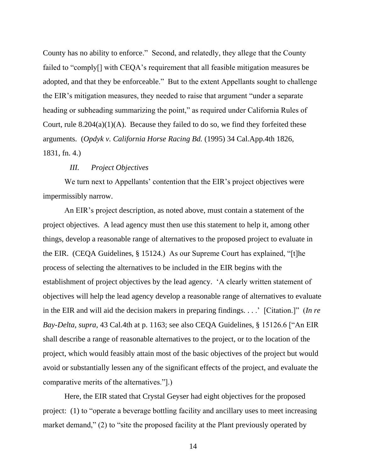County has no ability to enforce." Second, and relatedly, they allege that the County failed to "comply[] with CEQA's requirement that all feasible mitigation measures be adopted, and that they be enforceable." But to the extent Appellants sought to challenge the EIR's mitigation measures, they needed to raise that argument "under a separate heading or subheading summarizing the point," as required under California Rules of Court, rule  $8.204(a)(1)(A)$ . Because they failed to do so, we find they forfeited these arguments. (*Opdyk v. California Horse Racing Bd.* (1995) 34 Cal.App.4th 1826, 1831, fn. 4.)

## *III. Project Objectives*

We turn next to Appellants' contention that the EIR's project objectives were impermissibly narrow.

An EIR's project description, as noted above, must contain a statement of the project objectives. A lead agency must then use this statement to help it, among other things, develop a reasonable range of alternatives to the proposed project to evaluate in the EIR. (CEQA Guidelines, § 15124.) As our Supreme Court has explained, "[t]he process of selecting the alternatives to be included in the EIR begins with the establishment of project objectives by the lead agency. 'A clearly written statement of objectives will help the lead agency develop a reasonable range of alternatives to evaluate in the EIR and will aid the decision makers in preparing findings. . . .' [Citation.]" (*In re Bay-Delta, supra,* 43 Cal.4th at p. 1163; see also CEQA Guidelines, § 15126.6 ["An EIR shall describe a range of reasonable alternatives to the project, or to the location of the project, which would feasibly attain most of the basic objectives of the project but would avoid or substantially lessen any of the significant effects of the project, and evaluate the comparative merits of the alternatives."].)

Here, the EIR stated that Crystal Geyser had eight objectives for the proposed project: (1) to "operate a beverage bottling facility and ancillary uses to meet increasing market demand," (2) to "site the proposed facility at the Plant previously operated by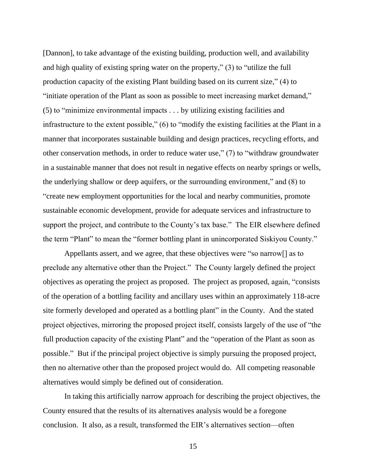[Dannon], to take advantage of the existing building, production well, and availability and high quality of existing spring water on the property," (3) to "utilize the full production capacity of the existing Plant building based on its current size," (4) to "initiate operation of the Plant as soon as possible to meet increasing market demand," (5) to "minimize environmental impacts . . . by utilizing existing facilities and infrastructure to the extent possible," (6) to "modify the existing facilities at the Plant in a manner that incorporates sustainable building and design practices, recycling efforts, and other conservation methods, in order to reduce water use," (7) to "withdraw groundwater in a sustainable manner that does not result in negative effects on nearby springs or wells, the underlying shallow or deep aquifers, or the surrounding environment," and (8) to "create new employment opportunities for the local and nearby communities, promote sustainable economic development, provide for adequate services and infrastructure to support the project, and contribute to the County's tax base." The EIR elsewhere defined the term "Plant" to mean the "former bottling plant in unincorporated Siskiyou County."

Appellants assert, and we agree, that these objectives were "so narrow[] as to preclude any alternative other than the Project." The County largely defined the project objectives as operating the project as proposed. The project as proposed, again, "consists of the operation of a bottling facility and ancillary uses within an approximately 118-acre site formerly developed and operated as a bottling plant" in the County. And the stated project objectives, mirroring the proposed project itself, consists largely of the use of "the full production capacity of the existing Plant" and the "operation of the Plant as soon as possible." But if the principal project objective is simply pursuing the proposed project, then no alternative other than the proposed project would do. All competing reasonable alternatives would simply be defined out of consideration.

In taking this artificially narrow approach for describing the project objectives, the County ensured that the results of its alternatives analysis would be a foregone conclusion. It also, as a result, transformed the EIR's alternatives section—often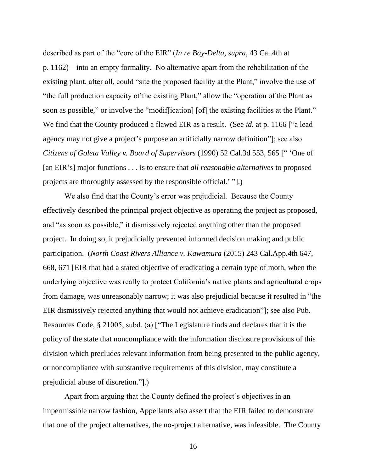described as part of the "core of the EIR" (*In re Bay-Delta, supra*, 43 Cal.4th at p. 1162)—into an empty formality. No alternative apart from the rehabilitation of the existing plant, after all, could "site the proposed facility at the Plant," involve the use of "the full production capacity of the existing Plant," allow the "operation of the Plant as soon as possible," or involve the "modiffication] [of] the existing facilities at the Plant." We find that the County produced a flawed EIR as a result. (See *id.* at p. 1166 ["a lead agency may not give a project's purpose an artificially narrow definition"]; see also *Citizens of Goleta Valley v. Board of Supervisors* (1990) 52 Cal.3d 553, 565 [" 'One of [an EIR's] major functions . . . is to ensure that *all reasonable alternatives* to proposed projects are thoroughly assessed by the responsible official.' "].)

We also find that the County's error was prejudicial. Because the County effectively described the principal project objective as operating the project as proposed, and "as soon as possible," it dismissively rejected anything other than the proposed project. In doing so, it prejudicially prevented informed decision making and public participation. (*North Coast Rivers Alliance v. Kawamura* (2015) 243 Cal.App.4th 647, 668, 671 [EIR that had a stated objective of eradicating a certain type of moth, when the underlying objective was really to protect California's native plants and agricultural crops from damage, was unreasonably narrow; it was also prejudicial because it resulted in "the EIR dismissively rejected anything that would not achieve eradication"]; see also Pub. Resources Code, § 21005, subd. (a) ["The Legislature finds and declares that it is the policy of the state that noncompliance with the information disclosure provisions of this division which precludes relevant information from being presented to the public agency, or noncompliance with substantive requirements of this division, may constitute a prejudicial abuse of discretion."].)

Apart from arguing that the County defined the project's objectives in an impermissible narrow fashion, Appellants also assert that the EIR failed to demonstrate that one of the project alternatives, the no-project alternative, was infeasible. The County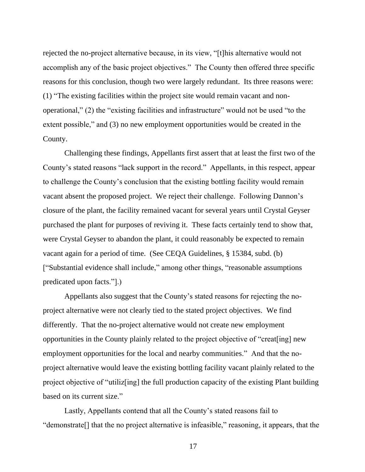rejected the no-project alternative because, in its view, "[t]his alternative would not accomplish any of the basic project objectives." The County then offered three specific reasons for this conclusion, though two were largely redundant. Its three reasons were: (1) "The existing facilities within the project site would remain vacant and nonoperational," (2) the "existing facilities and infrastructure" would not be used "to the extent possible," and (3) no new employment opportunities would be created in the County.

Challenging these findings, Appellants first assert that at least the first two of the County's stated reasons "lack support in the record." Appellants, in this respect, appear to challenge the County's conclusion that the existing bottling facility would remain vacant absent the proposed project. We reject their challenge. Following Dannon's closure of the plant, the facility remained vacant for several years until Crystal Geyser purchased the plant for purposes of reviving it. These facts certainly tend to show that, were Crystal Geyser to abandon the plant, it could reasonably be expected to remain vacant again for a period of time. (See CEQA Guidelines, § 15384, subd. (b) ["Substantial evidence shall include," among other things, "reasonable assumptions predicated upon facts."].)

Appellants also suggest that the County's stated reasons for rejecting the noproject alternative were not clearly tied to the stated project objectives. We find differently. That the no-project alternative would not create new employment opportunities in the County plainly related to the project objective of "creat[ing] new employment opportunities for the local and nearby communities." And that the noproject alternative would leave the existing bottling facility vacant plainly related to the project objective of "utiliz[ing] the full production capacity of the existing Plant building based on its current size."

Lastly, Appellants contend that all the County's stated reasons fail to "demonstrate[] that the no project alternative is infeasible," reasoning, it appears, that the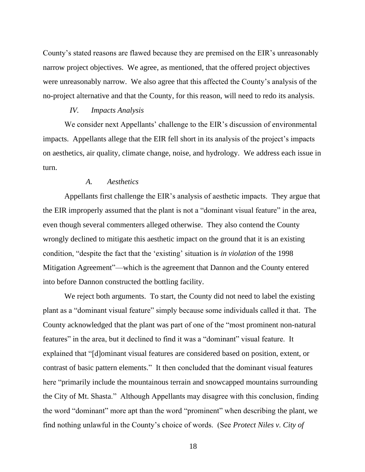County's stated reasons are flawed because they are premised on the EIR's unreasonably narrow project objectives. We agree, as mentioned, that the offered project objectives were unreasonably narrow. We also agree that this affected the County's analysis of the no-project alternative and that the County, for this reason, will need to redo its analysis.

#### *IV. Impacts Analysis*

We consider next Appellants' challenge to the EIR's discussion of environmental impacts. Appellants allege that the EIR fell short in its analysis of the project's impacts on aesthetics, air quality, climate change, noise, and hydrology. We address each issue in turn.

## *A. Aesthetics*

Appellants first challenge the EIR's analysis of aesthetic impacts. They argue that the EIR improperly assumed that the plant is not a "dominant visual feature" in the area, even though several commenters alleged otherwise. They also contend the County wrongly declined to mitigate this aesthetic impact on the ground that it is an existing condition, "despite the fact that the 'existing' situation is *in violation* of the 1998 Mitigation Agreement"—which is the agreement that Dannon and the County entered into before Dannon constructed the bottling facility.

We reject both arguments. To start, the County did not need to label the existing plant as a "dominant visual feature" simply because some individuals called it that. The County acknowledged that the plant was part of one of the "most prominent non-natural features" in the area, but it declined to find it was a "dominant" visual feature. It explained that "[d]ominant visual features are considered based on position, extent, or contrast of basic pattern elements." It then concluded that the dominant visual features here "primarily include the mountainous terrain and snowcapped mountains surrounding the City of Mt. Shasta." Although Appellants may disagree with this conclusion, finding the word "dominant" more apt than the word "prominent" when describing the plant, we find nothing unlawful in the County's choice of words. (See *Protect Niles v. City of*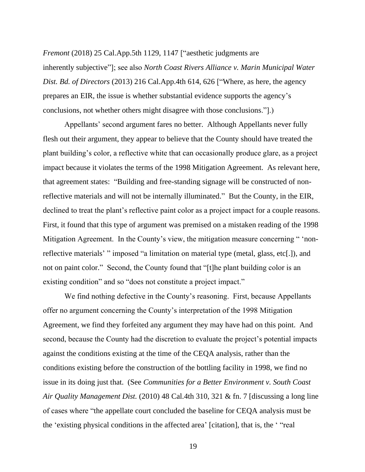*Fremont* (2018) 25 Cal.App.5th 1129, 1147 ["aesthetic judgments are inherently subjective"]; see also *North Coast Rivers Alliance v. Marin Municipal Water Dist. Bd. of Directors* (2013) 216 Cal.App.4th 614, 626 ["Where, as here, the agency prepares an EIR, the issue is whether substantial evidence supports the agency's conclusions, not whether others might disagree with those conclusions."].)

Appellants' second argument fares no better. Although Appellants never fully flesh out their argument, they appear to believe that the County should have treated the plant building's color, a reflective white that can occasionally produce glare, as a project impact because it violates the terms of the 1998 Mitigation Agreement. As relevant here, that agreement states: "Building and free-standing signage will be constructed of nonreflective materials and will not be internally illuminated." But the County, in the EIR, declined to treat the plant's reflective paint color as a project impact for a couple reasons. First, it found that this type of argument was premised on a mistaken reading of the 1998 Mitigation Agreement. In the County's view, the mitigation measure concerning " 'nonreflective materials' " imposed "a limitation on material type (metal, glass, etc[.]), and not on paint color." Second, the County found that "[t]he plant building color is an existing condition" and so "does not constitute a project impact."

We find nothing defective in the County's reasoning. First, because Appellants offer no argument concerning the County's interpretation of the 1998 Mitigation Agreement, we find they forfeited any argument they may have had on this point. And second, because the County had the discretion to evaluate the project's potential impacts against the conditions existing at the time of the CEQA analysis, rather than the conditions existing before the construction of the bottling facility in 1998, we find no issue in its doing just that. (See *Communities for a Better Environment v. South Coast Air Quality Management Dist.* (2010) 48 Cal.4th 310, 321 & fn. 7 [discussing a long line of cases where "the appellate court concluded the baseline for CEQA analysis must be the 'existing physical conditions in the affected area' [citation], that is, the ' "real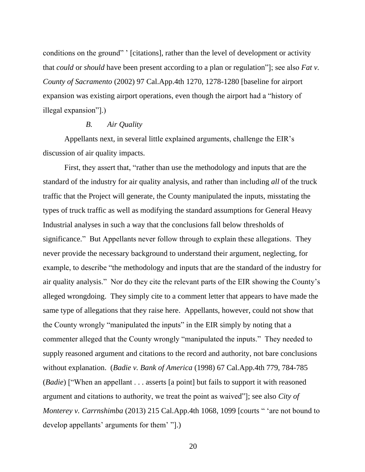conditions on the ground" ' [citations], rather than the level of development or activity that *could* or *should* have been present according to a plan or regulation"]; see also *Fat v. County of Sacramento* (2002) 97 Cal.App.4th 1270, 1278-1280 [baseline for airport expansion was existing airport operations, even though the airport had a "history of illegal expansion"].)

## *B. Air Quality*

Appellants next, in several little explained arguments, challenge the EIR's discussion of air quality impacts.

First, they assert that, "rather than use the methodology and inputs that are the standard of the industry for air quality analysis, and rather than including *all* of the truck traffic that the Project will generate, the County manipulated the inputs, misstating the types of truck traffic as well as modifying the standard assumptions for General Heavy Industrial analyses in such a way that the conclusions fall below thresholds of significance." But Appellants never follow through to explain these allegations. They never provide the necessary background to understand their argument, neglecting, for example, to describe "the methodology and inputs that are the standard of the industry for air quality analysis." Nor do they cite the relevant parts of the EIR showing the County's alleged wrongdoing. They simply cite to a comment letter that appears to have made the same type of allegations that they raise here. Appellants, however, could not show that the County wrongly "manipulated the inputs" in the EIR simply by noting that a commenter alleged that the County wrongly "manipulated the inputs." They needed to supply reasoned argument and citations to the record and authority, not bare conclusions without explanation. (*Badie v. Bank of America* (1998) 67 Cal.App.4th 779, 784-785 (*Badie*) ["When an appellant . . . asserts [a point] but fails to support it with reasoned argument and citations to authority, we treat the point as waived"]; see also *City of Monterey v. Carrnshimba* (2013) 215 Cal.App.4th 1068, 1099 [courts " 'are not bound to develop appellants' arguments for them' "].)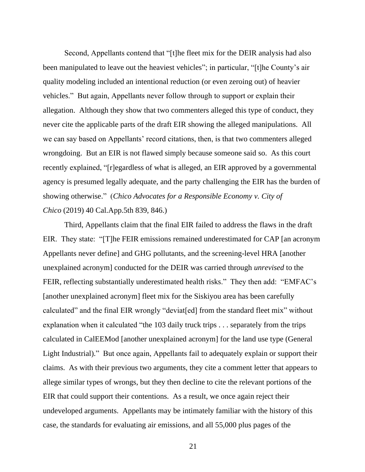Second, Appellants contend that "[t]he fleet mix for the DEIR analysis had also been manipulated to leave out the heaviest vehicles"; in particular, "[t]he County's air quality modeling included an intentional reduction (or even zeroing out) of heavier vehicles." But again, Appellants never follow through to support or explain their allegation. Although they show that two commenters alleged this type of conduct, they never cite the applicable parts of the draft EIR showing the alleged manipulations. All we can say based on Appellants' record citations, then, is that two commenters alleged wrongdoing. But an EIR is not flawed simply because someone said so. As this court recently explained, "[r]egardless of what is alleged, an EIR approved by a governmental agency is presumed legally adequate, and the party challenging the EIR has the burden of showing otherwise." (*Chico Advocates for a Responsible Economy v. City of Chico* (2019) 40 Cal.App.5th 839, 846.)

Third, Appellants claim that the final EIR failed to address the flaws in the draft EIR. They state: "[T]he FEIR emissions remained underestimated for CAP [an acronym Appellants never define] and GHG pollutants, and the screening-level HRA [another unexplained acronym] conducted for the DEIR was carried through *unrevised* to the FEIR, reflecting substantially underestimated health risks." They then add: "EMFAC's [another unexplained acronym] fleet mix for the Siskiyou area has been carefully calculated" and the final EIR wrongly "deviat[ed] from the standard fleet mix" without explanation when it calculated "the 103 daily truck trips . . . separately from the trips calculated in CalEEMod [another unexplained acronym] for the land use type (General Light Industrial)." But once again, Appellants fail to adequately explain or support their claims. As with their previous two arguments, they cite a comment letter that appears to allege similar types of wrongs, but they then decline to cite the relevant portions of the EIR that could support their contentions. As a result, we once again reject their undeveloped arguments. Appellants may be intimately familiar with the history of this case, the standards for evaluating air emissions, and all 55,000 plus pages of the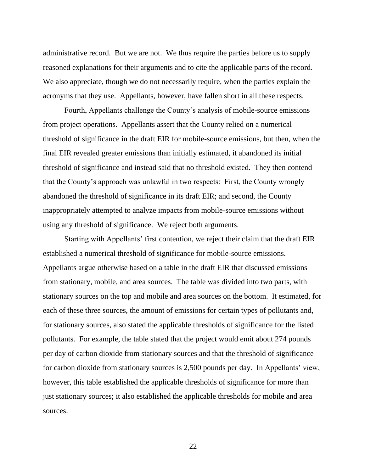administrative record. But we are not. We thus require the parties before us to supply reasoned explanations for their arguments and to cite the applicable parts of the record. We also appreciate, though we do not necessarily require, when the parties explain the acronyms that they use. Appellants, however, have fallen short in all these respects.

Fourth, Appellants challenge the County's analysis of mobile-source emissions from project operations. Appellants assert that the County relied on a numerical threshold of significance in the draft EIR for mobile-source emissions, but then, when the final EIR revealed greater emissions than initially estimated, it abandoned its initial threshold of significance and instead said that no threshold existed. They then contend that the County's approach was unlawful in two respects: First, the County wrongly abandoned the threshold of significance in its draft EIR; and second, the County inappropriately attempted to analyze impacts from mobile-source emissions without using any threshold of significance. We reject both arguments.

Starting with Appellants' first contention, we reject their claim that the draft EIR established a numerical threshold of significance for mobile-source emissions. Appellants argue otherwise based on a table in the draft EIR that discussed emissions from stationary, mobile, and area sources. The table was divided into two parts, with stationary sources on the top and mobile and area sources on the bottom. It estimated, for each of these three sources, the amount of emissions for certain types of pollutants and, for stationary sources, also stated the applicable thresholds of significance for the listed pollutants. For example, the table stated that the project would emit about 274 pounds per day of carbon dioxide from stationary sources and that the threshold of significance for carbon dioxide from stationary sources is 2,500 pounds per day. In Appellants' view, however, this table established the applicable thresholds of significance for more than just stationary sources; it also established the applicable thresholds for mobile and area sources.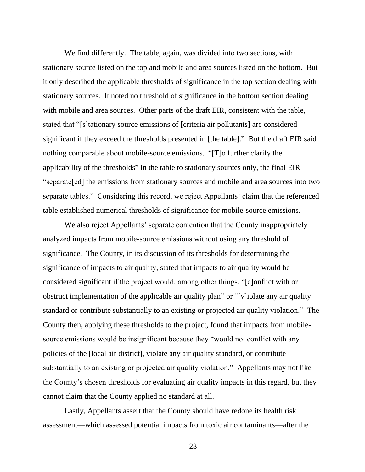We find differently. The table, again, was divided into two sections, with stationary source listed on the top and mobile and area sources listed on the bottom. But it only described the applicable thresholds of significance in the top section dealing with stationary sources. It noted no threshold of significance in the bottom section dealing with mobile and area sources. Other parts of the draft EIR, consistent with the table, stated that "[s]tationary source emissions of [criteria air pollutants] are considered significant if they exceed the thresholds presented in [the table]." But the draft EIR said nothing comparable about mobile-source emissions. "[T]o further clarify the applicability of the thresholds" in the table to stationary sources only, the final EIR "separate[ed] the emissions from stationary sources and mobile and area sources into two separate tables." Considering this record, we reject Appellants' claim that the referenced table established numerical thresholds of significance for mobile-source emissions.

We also reject Appellants' separate contention that the County inappropriately analyzed impacts from mobile-source emissions without using any threshold of significance. The County, in its discussion of its thresholds for determining the significance of impacts to air quality, stated that impacts to air quality would be considered significant if the project would, among other things, "[c]onflict with or obstruct implementation of the applicable air quality plan" or "[v]iolate any air quality standard or contribute substantially to an existing or projected air quality violation." The County then, applying these thresholds to the project, found that impacts from mobilesource emissions would be insignificant because they "would not conflict with any policies of the [local air district], violate any air quality standard, or contribute substantially to an existing or projected air quality violation." Appellants may not like the County's chosen thresholds for evaluating air quality impacts in this regard, but they cannot claim that the County applied no standard at all.

Lastly, Appellants assert that the County should have redone its health risk assessment—which assessed potential impacts from toxic air contaminants—after the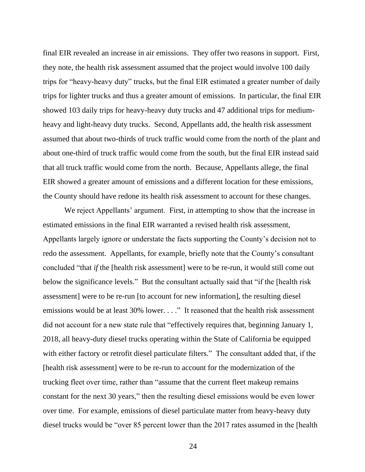final EIR revealed an increase in air emissions. They offer two reasons in support. First, they note, the health risk assessment assumed that the project would involve 100 daily trips for "heavy-heavy duty" trucks, but the final EIR estimated a greater number of daily trips for lighter trucks and thus a greater amount of emissions. In particular, the final EIR showed 103 daily trips for heavy-heavy duty trucks and 47 additional trips for mediumheavy and light-heavy duty trucks. Second, Appellants add, the health risk assessment assumed that about two-thirds of truck traffic would come from the north of the plant and about one-third of truck traffic would come from the south, but the final EIR instead said that all truck traffic would come from the north. Because, Appellants allege, the final EIR showed a greater amount of emissions and a different location for these emissions, the County should have redone its health risk assessment to account for these changes.

We reject Appellants' argument. First, in attempting to show that the increase in estimated emissions in the final EIR warranted a revised health risk assessment, Appellants largely ignore or understate the facts supporting the County's decision not to redo the assessment. Appellants, for example, briefly note that the County's consultant concluded "that *if* the [health risk assessment] were to be re-run, it would still come out below the significance levels." But the consultant actually said that "if the [health risk assessment] were to be re-run [to account for new information], the resulting diesel emissions would be at least 30% lower. . . ." It reasoned that the health risk assessment did not account for a new state rule that "effectively requires that, beginning January 1, 2018, all heavy-duty diesel trucks operating within the State of California be equipped with either factory or retrofit diesel particulate filters." The consultant added that, if the [health risk assessment] were to be re-run to account for the modernization of the trucking fleet over time, rather than "assume that the current fleet makeup remains constant for the next 30 years," then the resulting diesel emissions would be even lower over time. For example, emissions of diesel particulate matter from heavy-heavy duty diesel trucks would be "over 85 percent lower than the 2017 rates assumed in the [health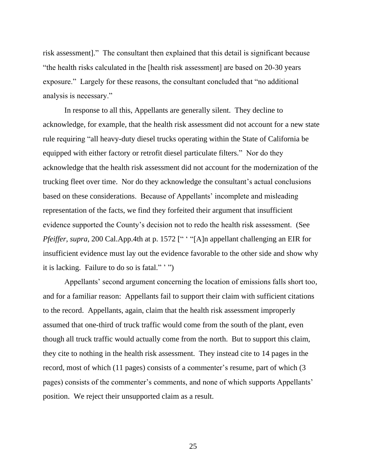risk assessment]." The consultant then explained that this detail is significant because "the health risks calculated in the [health risk assessment] are based on 20-30 years exposure." Largely for these reasons, the consultant concluded that "no additional analysis is necessary."

In response to all this, Appellants are generally silent. They decline to acknowledge, for example, that the health risk assessment did not account for a new state rule requiring "all heavy-duty diesel trucks operating within the State of California be equipped with either factory or retrofit diesel particulate filters." Nor do they acknowledge that the health risk assessment did not account for the modernization of the trucking fleet over time. Nor do they acknowledge the consultant's actual conclusions based on these considerations. Because of Appellants' incomplete and misleading representation of the facts, we find they forfeited their argument that insufficient evidence supported the County's decision not to redo the health risk assessment. (See *Pfeiffer, supra,* 200 Cal.App.4th at p. 1572 [" ' "[A]n appellant challenging an EIR for insufficient evidence must lay out the evidence favorable to the other side and show why it is lacking. Failure to do so is fatal." ' ")

Appellants' second argument concerning the location of emissions falls short too, and for a familiar reason: Appellants fail to support their claim with sufficient citations to the record. Appellants, again, claim that the health risk assessment improperly assumed that one-third of truck traffic would come from the south of the plant, even though all truck traffic would actually come from the north. But to support this claim, they cite to nothing in the health risk assessment. They instead cite to 14 pages in the record, most of which (11 pages) consists of a commenter's resume, part of which (3 pages) consists of the commenter's comments, and none of which supports Appellants' position. We reject their unsupported claim as a result.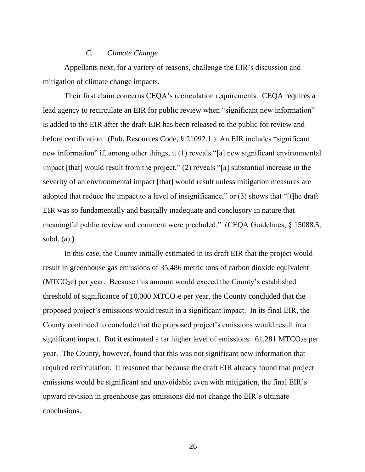## *C. Climate Change*

Appellants next, for a variety of reasons, challenge the EIR's discussion and mitigation of climate change impacts.

Their first claim concerns CEQA's recirculation requirements. CEQA requires a lead agency to recirculate an EIR for public review when "significant new information" is added to the EIR after the draft EIR has been released to the public for review and before certification. (Pub. Resources Code, § 21092.1.) An EIR includes "significant new information" if, among other things, it (1) reveals "[a] new significant environmental impact [that] would result from the project," (2) reveals "[a] substantial increase in the severity of an environmental impact [that] would result unless mitigation measures are adopted that reduce the impact to a level of insignificance," or (3) shows that "[t]he draft EIR was so fundamentally and basically inadequate and conclusory in nature that meaningful public review and comment were precluded." (CEQA Guidelines, § 15088.5, subd.  $(a)$ .)

In this case, the County initially estimated in its draft EIR that the project would result in greenhouse gas emissions of 35,486 metric tons of carbon dioxide equivalent (MTCO2e) per year. Because this amount would exceed the County's established threshold of significance of  $10,000$  MTCO<sub>2</sub>e per year, the County concluded that the proposed project's emissions would result in a significant impact. In its final EIR, the County continued to conclude that the proposed project's emissions would result in a significant impact. But it estimated a far higher level of emissions:  $61,281$  MTCO<sub>2</sub>e per year. The County, however, found that this was not significant new information that required recirculation. It reasoned that because the draft EIR already found that project emissions would be significant and unavoidable even with mitigation, the final EIR's upward revision in greenhouse gas emissions did not change the EIR's ultimate conclusions.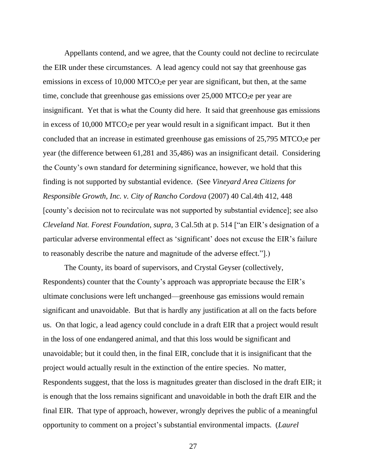Appellants contend, and we agree, that the County could not decline to recirculate the EIR under these circumstances. A lead agency could not say that greenhouse gas emissions in excess of  $10,000$  MTCO<sub>2</sub>e per year are significant, but then, at the same time, conclude that greenhouse gas emissions over  $25,000$  MTCO<sub>2</sub>e per year are insignificant. Yet that is what the County did here. It said that greenhouse gas emissions in excess of  $10,000$  MTCO<sub>2</sub>e per year would result in a significant impact. But it then concluded that an increase in estimated greenhouse gas emissions of  $25,795$  MTCO<sub>2</sub>e per year (the difference between 61,281 and 35,486) was an insignificant detail. Considering the County's own standard for determining significance, however, we hold that this finding is not supported by substantial evidence. (See *Vineyard Area Citizens for Responsible Growth, Inc. v. City of Rancho Cordova* (2007) 40 Cal.4th 412, 448 [county's decision not to recirculate was not supported by substantial evidence]; see also *Cleveland Nat. Forest Foundation, supra*, 3 Cal.5th at p. 514 ["an EIR's designation of a particular adverse environmental effect as 'significant' does not excuse the EIR's failure to reasonably describe the nature and magnitude of the adverse effect."].)

The County, its board of supervisors, and Crystal Geyser (collectively, Respondents) counter that the County's approach was appropriate because the EIR's ultimate conclusions were left unchanged—greenhouse gas emissions would remain significant and unavoidable. But that is hardly any justification at all on the facts before us. On that logic, a lead agency could conclude in a draft EIR that a project would result in the loss of one endangered animal, and that this loss would be significant and unavoidable; but it could then, in the final EIR, conclude that it is insignificant that the project would actually result in the extinction of the entire species. No matter, Respondents suggest, that the loss is magnitudes greater than disclosed in the draft EIR; it is enough that the loss remains significant and unavoidable in both the draft EIR and the final EIR. That type of approach, however, wrongly deprives the public of a meaningful opportunity to comment on a project's substantial environmental impacts. (*Laurel*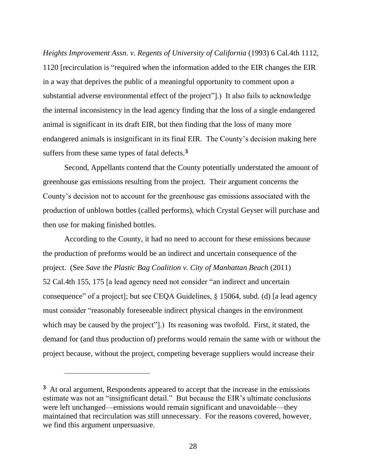*Heights Improvement Assn. v. Regents of University of California* (1993) 6 Cal.4th 1112, 1120 [recirculation is "required when the information added to the EIR changes the EIR in a way that deprives the public of a meaningful opportunity to comment upon a substantial adverse environmental effect of the project"].) It also fails to acknowledge the internal inconsistency in the lead agency finding that the loss of a single endangered animal is significant in its draft EIR, but then finding that the loss of many more endangered animals is insignificant in its final EIR. The County's decision making here suffers from these same types of fatal defects.**<sup>3</sup>**

Second, Appellants contend that the County potentially understated the amount of greenhouse gas emissions resulting from the project. Their argument concerns the County's decision not to account for the greenhouse gas emissions associated with the production of unblown bottles (called performs), which Crystal Geyser will purchase and then use for making finished bottles.

According to the County, it had no need to account for these emissions because the production of preforms would be an indirect and uncertain consequence of the project. (See *Save the Plastic Bag Coalition v. City of Manhattan Beach* (2011) 52 Cal.4th 155, 175 [a lead agency need not consider "an indirect and uncertain consequence" of a project]; but see CEQA Guidelines, § 15064, subd. (d) [a lead agency must consider "reasonably foreseeable indirect physical changes in the environment which may be caused by the project"....) Its reasoning was twofold. First, it stated, the demand for (and thus production of) preforms would remain the same with or without the project because, without the project, competing beverage suppliers would increase their

**<sup>3</sup>** At oral argument, Respondents appeared to accept that the increase in the emissions estimate was not an "insignificant detail." But because the EIR's ultimate conclusions were left unchanged—emissions would remain significant and unavoidable—they maintained that recirculation was still unnecessary. For the reasons covered, however, we find this argument unpersuasive.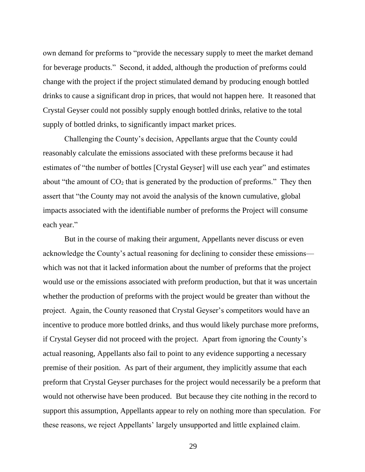own demand for preforms to "provide the necessary supply to meet the market demand for beverage products." Second, it added, although the production of preforms could change with the project if the project stimulated demand by producing enough bottled drinks to cause a significant drop in prices, that would not happen here. It reasoned that Crystal Geyser could not possibly supply enough bottled drinks, relative to the total supply of bottled drinks, to significantly impact market prices.

Challenging the County's decision, Appellants argue that the County could reasonably calculate the emissions associated with these preforms because it had estimates of "the number of bottles [Crystal Geyser] will use each year" and estimates about "the amount of  $CO<sub>2</sub>$  that is generated by the production of preforms." They then assert that "the County may not avoid the analysis of the known cumulative, global impacts associated with the identifiable number of preforms the Project will consume each year."

But in the course of making their argument, Appellants never discuss or even acknowledge the County's actual reasoning for declining to consider these emissions which was not that it lacked information about the number of preforms that the project would use or the emissions associated with preform production, but that it was uncertain whether the production of preforms with the project would be greater than without the project. Again, the County reasoned that Crystal Geyser's competitors would have an incentive to produce more bottled drinks, and thus would likely purchase more preforms, if Crystal Geyser did not proceed with the project. Apart from ignoring the County's actual reasoning, Appellants also fail to point to any evidence supporting a necessary premise of their position. As part of their argument, they implicitly assume that each preform that Crystal Geyser purchases for the project would necessarily be a preform that would not otherwise have been produced. But because they cite nothing in the record to support this assumption, Appellants appear to rely on nothing more than speculation. For these reasons, we reject Appellants' largely unsupported and little explained claim.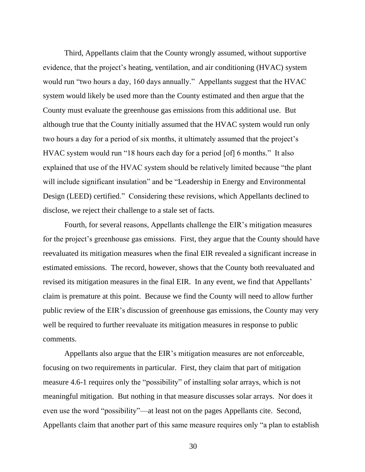Third, Appellants claim that the County wrongly assumed, without supportive evidence, that the project's heating, ventilation, and air conditioning (HVAC) system would run "two hours a day, 160 days annually." Appellants suggest that the HVAC system would likely be used more than the County estimated and then argue that the County must evaluate the greenhouse gas emissions from this additional use. But although true that the County initially assumed that the HVAC system would run only two hours a day for a period of six months, it ultimately assumed that the project's HVAC system would run "18 hours each day for a period [of] 6 months." It also explained that use of the HVAC system should be relatively limited because "the plant will include significant insulation" and be "Leadership in Energy and Environmental Design (LEED) certified." Considering these revisions, which Appellants declined to disclose, we reject their challenge to a stale set of facts.

Fourth, for several reasons, Appellants challenge the EIR's mitigation measures for the project's greenhouse gas emissions. First, they argue that the County should have reevaluated its mitigation measures when the final EIR revealed a significant increase in estimated emissions. The record, however, shows that the County both reevaluated and revised its mitigation measures in the final EIR. In any event, we find that Appellants' claim is premature at this point. Because we find the County will need to allow further public review of the EIR's discussion of greenhouse gas emissions, the County may very well be required to further reevaluate its mitigation measures in response to public comments.

Appellants also argue that the EIR's mitigation measures are not enforceable, focusing on two requirements in particular. First, they claim that part of mitigation measure 4.6-1 requires only the "possibility" of installing solar arrays, which is not meaningful mitigation. But nothing in that measure discusses solar arrays. Nor does it even use the word "possibility"—at least not on the pages Appellants cite. Second, Appellants claim that another part of this same measure requires only "a plan to establish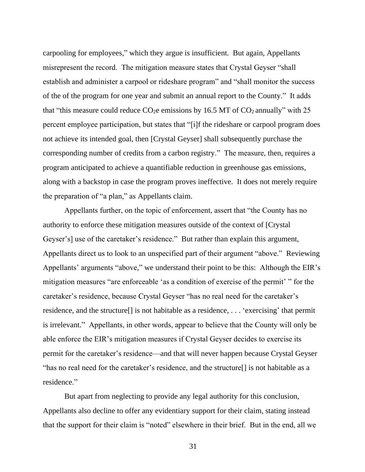carpooling for employees," which they argue is insufficient. But again, Appellants misrepresent the record. The mitigation measure states that Crystal Geyser "shall establish and administer a carpool or rideshare program" and "shall monitor the success of the of the program for one year and submit an annual report to the County." It adds that "this measure could reduce  $CO<sub>2</sub>e$  emissions by 16.5 MT of  $CO<sub>2</sub>$  annually" with 25 percent employee participation, but states that "[i]f the rideshare or carpool program does not achieve its intended goal, then [Crystal Geyser] shall subsequently purchase the corresponding number of credits from a carbon registry." The measure, then, requires a program anticipated to achieve a quantifiable reduction in greenhouse gas emissions, along with a backstop in case the program proves ineffective. It does not merely require the preparation of "a plan," as Appellants claim.

Appellants further, on the topic of enforcement, assert that "the County has no authority to enforce these mitigation measures outside of the context of [Crystal Geyser's] use of the caretaker's residence." But rather than explain this argument, Appellants direct us to look to an unspecified part of their argument "above." Reviewing Appellants' arguments "above," we understand their point to be this: Although the EIR's mitigation measures "are enforceable 'as a condition of exercise of the permit' " for the caretaker's residence, because Crystal Geyser "has no real need for the caretaker's residence, and the structure[] is not habitable as a residence, . . . 'exercising' that permit is irrelevant." Appellants, in other words, appear to believe that the County will only be able enforce the EIR's mitigation measures if Crystal Geyser decides to exercise its permit for the caretaker's residence—and that will never happen because Crystal Geyser "has no real need for the caretaker's residence, and the structure[] is not habitable as a residence."

But apart from neglecting to provide any legal authority for this conclusion, Appellants also decline to offer any evidentiary support for their claim, stating instead that the support for their claim is "noted" elsewhere in their brief. But in the end, all we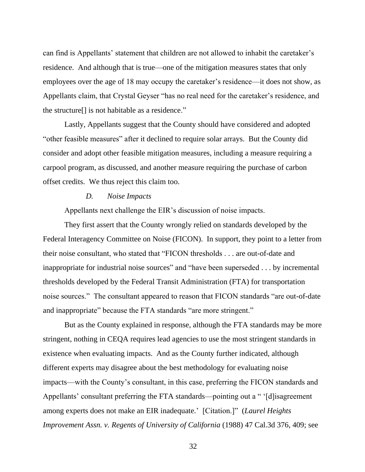can find is Appellants' statement that children are not allowed to inhabit the caretaker's residence. And although that is true—one of the mitigation measures states that only employees over the age of 18 may occupy the caretaker's residence—it does not show, as Appellants claim, that Crystal Geyser "has no real need for the caretaker's residence, and the structure[] is not habitable as a residence."

Lastly, Appellants suggest that the County should have considered and adopted "other feasible measures" after it declined to require solar arrays. But the County did consider and adopt other feasible mitigation measures, including a measure requiring a carpool program, as discussed, and another measure requiring the purchase of carbon offset credits. We thus reject this claim too.

#### *D. Noise Impacts*

Appellants next challenge the EIR's discussion of noise impacts.

They first assert that the County wrongly relied on standards developed by the Federal Interagency Committee on Noise (FICON). In support, they point to a letter from their noise consultant, who stated that "FICON thresholds . . . are out-of-date and inappropriate for industrial noise sources" and "have been superseded . . . by incremental thresholds developed by the Federal Transit Administration (FTA) for transportation noise sources." The consultant appeared to reason that FICON standards "are out-of-date and inappropriate" because the FTA standards "are more stringent."

But as the County explained in response, although the FTA standards may be more stringent, nothing in CEQA requires lead agencies to use the most stringent standards in existence when evaluating impacts. And as the County further indicated, although different experts may disagree about the best methodology for evaluating noise impacts—with the County's consultant, in this case, preferring the FICON standards and Appellants' consultant preferring the FTA standards—pointing out a " '[d]isagreement among experts does not make an EIR inadequate.' [Citation.]" (*Laurel Heights Improvement Assn. v. Regents of University of California* (1988) 47 Cal.3d 376, 409; see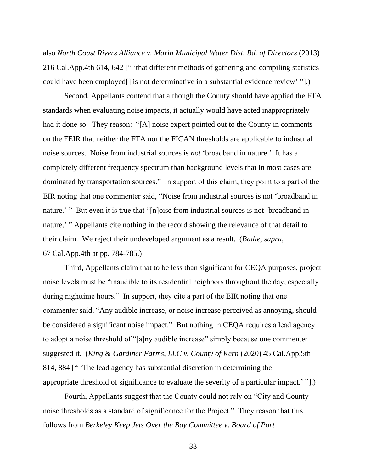also *North Coast Rivers Alliance v. Marin Municipal Water Dist. Bd. of Directors* (2013) 216 Cal.App.4th 614, 642 [" 'that different methods of gathering and compiling statistics could have been employed[] is not determinative in a substantial evidence review' "].)

Second, Appellants contend that although the County should have applied the FTA standards when evaluating noise impacts, it actually would have acted inappropriately had it done so. They reason: "[A] noise expert pointed out to the County in comments on the FEIR that neither the FTA nor the FICAN thresholds are applicable to industrial noise sources. Noise from industrial sources is *not* 'broadband in nature.' It has a completely different frequency spectrum than background levels that in most cases are dominated by transportation sources." In support of this claim, they point to a part of the EIR noting that one commenter said, "Noise from industrial sources is not 'broadband in nature.' " But even it is true that "[n]oise from industrial sources is not 'broadband in nature,' " Appellants cite nothing in the record showing the relevance of that detail to their claim. We reject their undeveloped argument as a result. (*Badie, supra*, 67 Cal.App.4th at pp. 784-785.)

Third, Appellants claim that to be less than significant for CEQA purposes, project noise levels must be "inaudible to its residential neighbors throughout the day, especially during nighttime hours." In support, they cite a part of the EIR noting that one commenter said, "Any audible increase, or noise increase perceived as annoying, should be considered a significant noise impact." But nothing in CEQA requires a lead agency to adopt a noise threshold of "[a]ny audible increase" simply because one commenter suggested it. (*King & Gardiner Farms, LLC v. County of Kern* (2020) 45 Cal.App.5th 814, 884 [" 'The lead agency has substantial discretion in determining the appropriate threshold of significance to evaluate the severity of a particular impact.' "].)

Fourth, Appellants suggest that the County could not rely on "City and County noise thresholds as a standard of significance for the Project." They reason that this follows from *Berkeley Keep Jets Over the Bay Committee v. Board of Port*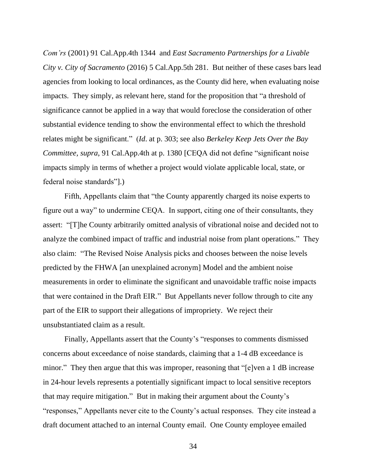*Com'rs* (2001) 91 Cal.App.4th 1344 and *East Sacramento Partnerships for a Livable City v. City of Sacramento* (2016) 5 Cal.App.5th 281. But neither of these cases bars lead agencies from looking to local ordinances, as the County did here, when evaluating noise impacts. They simply, as relevant here, stand for the proposition that "a threshold of significance cannot be applied in a way that would foreclose the consideration of other substantial evidence tending to show the environmental effect to which the threshold relates might be significant." (*Id*. at p. 303; see also *Berkeley Keep Jets Over the Bay Committee, supra*, 91 Cal.App.4th at p. 1380 [CEQA did not define "significant noise impacts simply in terms of whether a project would violate applicable local, state, or federal noise standards"].)

Fifth, Appellants claim that "the County apparently charged its noise experts to figure out a way" to undermine CEQA. In support, citing one of their consultants, they assert: "[T]he County arbitrarily omitted analysis of vibrational noise and decided not to analyze the combined impact of traffic and industrial noise from plant operations." They also claim: "The Revised Noise Analysis picks and chooses between the noise levels predicted by the FHWA [an unexplained acronym] Model and the ambient noise measurements in order to eliminate the significant and unavoidable traffic noise impacts that were contained in the Draft EIR." But Appellants never follow through to cite any part of the EIR to support their allegations of impropriety. We reject their unsubstantiated claim as a result.

Finally, Appellants assert that the County's "responses to comments dismissed concerns about exceedance of noise standards, claiming that a 1-4 dB exceedance is minor." They then argue that this was improper, reasoning that "[e]ven a 1 dB increase in 24-hour levels represents a potentially significant impact to local sensitive receptors that may require mitigation." But in making their argument about the County's "responses," Appellants never cite to the County's actual responses. They cite instead a draft document attached to an internal County email. One County employee emailed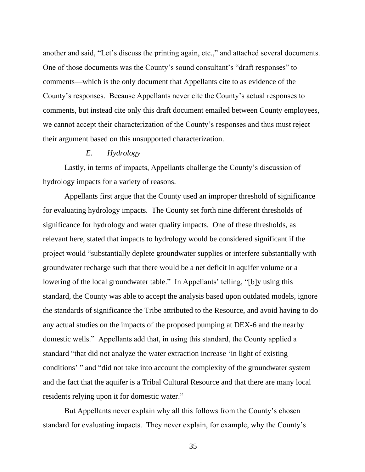another and said, "Let's discuss the printing again, etc.," and attached several documents. One of those documents was the County's sound consultant's "draft responses" to comments—which is the only document that Appellants cite to as evidence of the County's responses. Because Appellants never cite the County's actual responses to comments, but instead cite only this draft document emailed between County employees, we cannot accept their characterization of the County's responses and thus must reject their argument based on this unsupported characterization.

## *E. Hydrology*

Lastly, in terms of impacts, Appellants challenge the County's discussion of hydrology impacts for a variety of reasons.

Appellants first argue that the County used an improper threshold of significance for evaluating hydrology impacts. The County set forth nine different thresholds of significance for hydrology and water quality impacts. One of these thresholds, as relevant here, stated that impacts to hydrology would be considered significant if the project would "substantially deplete groundwater supplies or interfere substantially with groundwater recharge such that there would be a net deficit in aquifer volume or a lowering of the local groundwater table." In Appellants' telling, "[b]y using this standard, the County was able to accept the analysis based upon outdated models, ignore the standards of significance the Tribe attributed to the Resource, and avoid having to do any actual studies on the impacts of the proposed pumping at DEX-6 and the nearby domestic wells." Appellants add that, in using this standard, the County applied a standard "that did not analyze the water extraction increase 'in light of existing conditions' " and "did not take into account the complexity of the groundwater system and the fact that the aquifer is a Tribal Cultural Resource and that there are many local residents relying upon it for domestic water."

But Appellants never explain why all this follows from the County's chosen standard for evaluating impacts. They never explain, for example, why the County's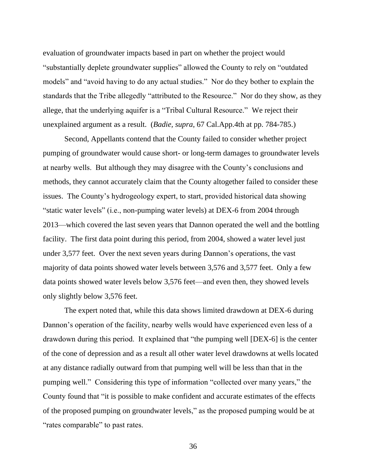evaluation of groundwater impacts based in part on whether the project would "substantially deplete groundwater supplies" allowed the County to rely on "outdated models" and "avoid having to do any actual studies." Nor do they bother to explain the standards that the Tribe allegedly "attributed to the Resource." Nor do they show, as they allege, that the underlying aquifer is a "Tribal Cultural Resource." We reject their unexplained argument as a result. (*Badie, supra*, 67 Cal.App.4th at pp. 784-785.)

Second, Appellants contend that the County failed to consider whether project pumping of groundwater would cause short- or long-term damages to groundwater levels at nearby wells. But although they may disagree with the County's conclusions and methods, they cannot accurately claim that the County altogether failed to consider these issues. The County's hydrogeology expert, to start, provided historical data showing "static water levels" (i.e., non-pumping water levels) at DEX-6 from 2004 through 2013—which covered the last seven years that Dannon operated the well and the bottling facility. The first data point during this period, from 2004, showed a water level just under 3,577 feet. Over the next seven years during Dannon's operations, the vast majority of data points showed water levels between 3,576 and 3,577 feet. Only a few data points showed water levels below 3,576 feet—and even then, they showed levels only slightly below 3,576 feet.

The expert noted that, while this data shows limited drawdown at DEX-6 during Dannon's operation of the facility, nearby wells would have experienced even less of a drawdown during this period. It explained that "the pumping well [DEX-6] is the center of the cone of depression and as a result all other water level drawdowns at wells located at any distance radially outward from that pumping well will be less than that in the pumping well." Considering this type of information "collected over many years," the County found that "it is possible to make confident and accurate estimates of the effects of the proposed pumping on groundwater levels," as the proposed pumping would be at "rates comparable" to past rates.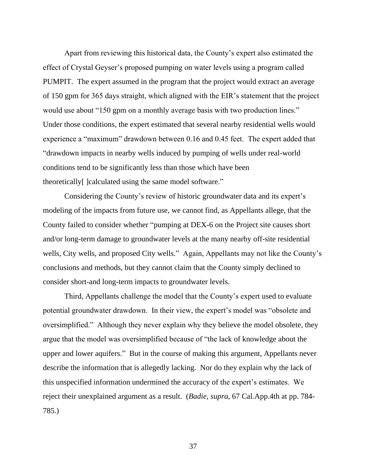Apart from reviewing this historical data, the County's expert also estimated the effect of Crystal Geyser's proposed pumping on water levels using a program called PUMPIT. The expert assumed in the program that the project would extract an average of 150 gpm for 365 days straight, which aligned with the EIR's statement that the project would use about "150 gpm on a monthly average basis with two production lines." Under those conditions, the expert estimated that several nearby residential wells would experience a "maximum" drawdown between 0.16 and 0.45 feet. The expert added that "drawdown impacts in nearby wells induced by pumping of wells under real-world conditions tend to be significantly less than those which have been theoretically[ ]calculated using the same model software."

Considering the County's review of historic groundwater data and its expert's modeling of the impacts from future use, we cannot find, as Appellants allege, that the County failed to consider whether "pumping at DEX-6 on the Project site causes short and/or long-term damage to groundwater levels at the many nearby off-site residential wells, City wells, and proposed City wells." Again, Appellants may not like the County's conclusions and methods, but they cannot claim that the County simply declined to consider short-and long-term impacts to groundwater levels.

Third, Appellants challenge the model that the County's expert used to evaluate potential groundwater drawdown. In their view, the expert's model was "obsolete and oversimplified." Although they never explain why they believe the model obsolete, they argue that the model was oversimplified because of "the lack of knowledge about the upper and lower aquifers." But in the course of making this argument, Appellants never describe the information that is allegedly lacking. Nor do they explain why the lack of this unspecified information undermined the accuracy of the expert's estimates. We reject their unexplained argument as a result. (*Badie, supra*, 67 Cal.App.4th at pp. 784- 785.)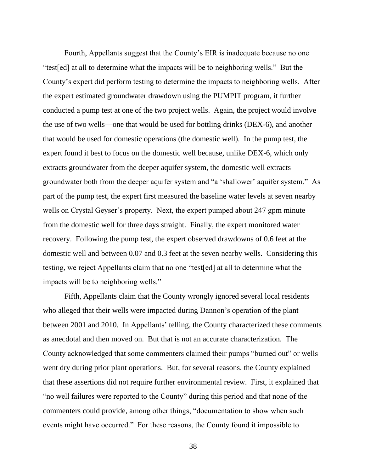Fourth, Appellants suggest that the County's EIR is inadequate because no one "test[ed] at all to determine what the impacts will be to neighboring wells." But the County's expert did perform testing to determine the impacts to neighboring wells. After the expert estimated groundwater drawdown using the PUMPIT program, it further conducted a pump test at one of the two project wells. Again, the project would involve the use of two wells—one that would be used for bottling drinks (DEX-6), and another that would be used for domestic operations (the domestic well). In the pump test, the expert found it best to focus on the domestic well because, unlike DEX-6, which only extracts groundwater from the deeper aquifer system, the domestic well extracts groundwater both from the deeper aquifer system and "a 'shallower' aquifer system." As part of the pump test, the expert first measured the baseline water levels at seven nearby wells on Crystal Geyser's property. Next, the expert pumped about 247 gpm minute from the domestic well for three days straight. Finally, the expert monitored water recovery. Following the pump test, the expert observed drawdowns of 0.6 feet at the domestic well and between 0.07 and 0.3 feet at the seven nearby wells. Considering this testing, we reject Appellants claim that no one "test[ed] at all to determine what the impacts will be to neighboring wells."

Fifth, Appellants claim that the County wrongly ignored several local residents who alleged that their wells were impacted during Dannon's operation of the plant between 2001 and 2010. In Appellants' telling, the County characterized these comments as anecdotal and then moved on. But that is not an accurate characterization. The County acknowledged that some commenters claimed their pumps "burned out" or wells went dry during prior plant operations. But, for several reasons, the County explained that these assertions did not require further environmental review. First, it explained that "no well failures were reported to the County" during this period and that none of the commenters could provide, among other things, "documentation to show when such events might have occurred." For these reasons, the County found it impossible to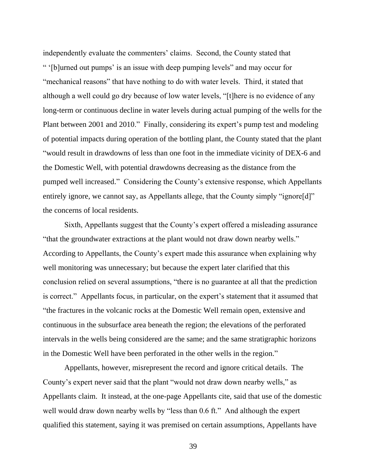independently evaluate the commenters' claims. Second, the County stated that " '[b]urned out pumps' is an issue with deep pumping levels" and may occur for "mechanical reasons" that have nothing to do with water levels. Third, it stated that although a well could go dry because of low water levels, "[t]here is no evidence of any long-term or continuous decline in water levels during actual pumping of the wells for the Plant between 2001 and 2010." Finally, considering its expert's pump test and modeling of potential impacts during operation of the bottling plant, the County stated that the plant "would result in drawdowns of less than one foot in the immediate vicinity of DEX-6 and the Domestic Well, with potential drawdowns decreasing as the distance from the pumped well increased." Considering the County's extensive response, which Appellants entirely ignore, we cannot say, as Appellants allege, that the County simply "ignore[d]" the concerns of local residents.

Sixth, Appellants suggest that the County's expert offered a misleading assurance "that the groundwater extractions at the plant would not draw down nearby wells." According to Appellants, the County's expert made this assurance when explaining why well monitoring was unnecessary; but because the expert later clarified that this conclusion relied on several assumptions, "there is no guarantee at all that the prediction is correct." Appellants focus, in particular, on the expert's statement that it assumed that "the fractures in the volcanic rocks at the Domestic Well remain open, extensive and continuous in the subsurface area beneath the region; the elevations of the perforated intervals in the wells being considered are the same; and the same stratigraphic horizons in the Domestic Well have been perforated in the other wells in the region."

Appellants, however, misrepresent the record and ignore critical details. The County's expert never said that the plant "would not draw down nearby wells," as Appellants claim. It instead, at the one-page Appellants cite, said that use of the domestic well would draw down nearby wells by "less than 0.6 ft." And although the expert qualified this statement, saying it was premised on certain assumptions, Appellants have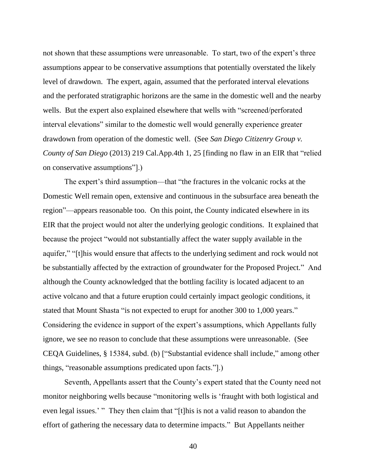not shown that these assumptions were unreasonable. To start, two of the expert's three assumptions appear to be conservative assumptions that potentially overstated the likely level of drawdown. The expert, again, assumed that the perforated interval elevations and the perforated stratigraphic horizons are the same in the domestic well and the nearby wells. But the expert also explained elsewhere that wells with "screened/perforated interval elevations" similar to the domestic well would generally experience greater drawdown from operation of the domestic well. (See *San Diego Citizenry Group v. County of San Diego* (2013) 219 Cal.App.4th 1, 25 [finding no flaw in an EIR that "relied on conservative assumptions"].)

The expert's third assumption—that "the fractures in the volcanic rocks at the Domestic Well remain open, extensive and continuous in the subsurface area beneath the region"—appears reasonable too. On this point, the County indicated elsewhere in its EIR that the project would not alter the underlying geologic conditions. It explained that because the project "would not substantially affect the water supply available in the aquifer," "[t]his would ensure that affects to the underlying sediment and rock would not be substantially affected by the extraction of groundwater for the Proposed Project." And although the County acknowledged that the bottling facility is located adjacent to an active volcano and that a future eruption could certainly impact geologic conditions, it stated that Mount Shasta "is not expected to erupt for another 300 to 1,000 years." Considering the evidence in support of the expert's assumptions, which Appellants fully ignore, we see no reason to conclude that these assumptions were unreasonable. (See CEQA Guidelines, § 15384, subd. (b) ["Substantial evidence shall include," among other things, "reasonable assumptions predicated upon facts."].)

Seventh, Appellants assert that the County's expert stated that the County need not monitor neighboring wells because "monitoring wells is 'fraught with both logistical and even legal issues.' " They then claim that "[t]his is not a valid reason to abandon the effort of gathering the necessary data to determine impacts." But Appellants neither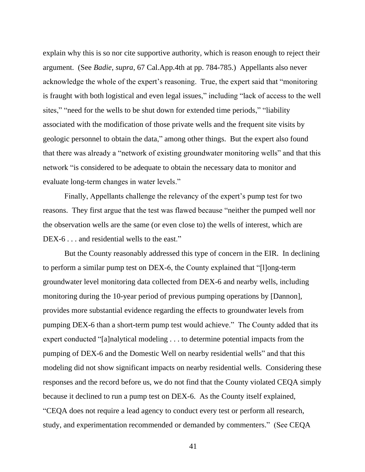explain why this is so nor cite supportive authority, which is reason enough to reject their argument. (See *Badie, supra*, 67 Cal.App.4th at pp. 784-785.) Appellants also never acknowledge the whole of the expert's reasoning. True, the expert said that "monitoring is fraught with both logistical and even legal issues," including "lack of access to the well sites," "need for the wells to be shut down for extended time periods," "liability associated with the modification of those private wells and the frequent site visits by geologic personnel to obtain the data," among other things. But the expert also found that there was already a "network of existing groundwater monitoring wells" and that this network "is considered to be adequate to obtain the necessary data to monitor and evaluate long-term changes in water levels."

Finally, Appellants challenge the relevancy of the expert's pump test for two reasons. They first argue that the test was flawed because "neither the pumped well nor the observation wells are the same (or even close to) the wells of interest, which are DEX-6 . . . and residential wells to the east."

But the County reasonably addressed this type of concern in the EIR. In declining to perform a similar pump test on DEX-6, the County explained that "[l]ong-term groundwater level monitoring data collected from DEX-6 and nearby wells, including monitoring during the 10-year period of previous pumping operations by [Dannon], provides more substantial evidence regarding the effects to groundwater levels from pumping DEX-6 than a short-term pump test would achieve." The County added that its expert conducted "[a]nalytical modeling . . . to determine potential impacts from the pumping of DEX-6 and the Domestic Well on nearby residential wells" and that this modeling did not show significant impacts on nearby residential wells. Considering these responses and the record before us, we do not find that the County violated CEQA simply because it declined to run a pump test on DEX-6. As the County itself explained, "CEQA does not require a lead agency to conduct every test or perform all research, study, and experimentation recommended or demanded by commenters." (See CEQA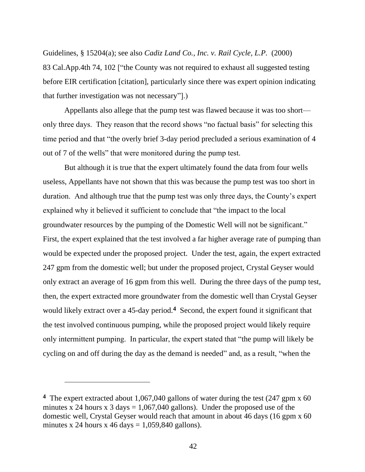Guidelines, § 15204(a); see also *Cadiz Land Co., Inc. v. Rail Cycle, L.P.* (2000) 83 Cal.App.4th 74, 102 ["the County was not required to exhaust all suggested testing before EIR certification [citation], particularly since there was expert opinion indicating that further investigation was not necessary"].)

Appellants also allege that the pump test was flawed because it was too short only three days. They reason that the record shows "no factual basis" for selecting this time period and that "the overly brief 3-day period precluded a serious examination of 4 out of 7 of the wells" that were monitored during the pump test.

But although it is true that the expert ultimately found the data from four wells useless, Appellants have not shown that this was because the pump test was too short in duration. And although true that the pump test was only three days, the County's expert explained why it believed it sufficient to conclude that "the impact to the local groundwater resources by the pumping of the Domestic Well will not be significant." First, the expert explained that the test involved a far higher average rate of pumping than would be expected under the proposed project. Under the test, again, the expert extracted 247 gpm from the domestic well; but under the proposed project, Crystal Geyser would only extract an average of 16 gpm from this well. During the three days of the pump test, then, the expert extracted more groundwater from the domestic well than Crystal Geyser would likely extract over a 45-day period.<sup>4</sup> Second, the expert found it significant that the test involved continuous pumping, while the proposed project would likely require only intermittent pumping. In particular, the expert stated that "the pump will likely be cycling on and off during the day as the demand is needed" and, as a result, "when the

**<sup>4</sup>** The expert extracted about 1,067,040 gallons of water during the test (247 gpm x 60 minutes x 24 hours x 3 days =  $1,067,040$  gallons). Under the proposed use of the domestic well, Crystal Geyser would reach that amount in about 46 days (16 gpm x 60 minutes x 24 hours x 46 days =  $1,059,840$  gallons).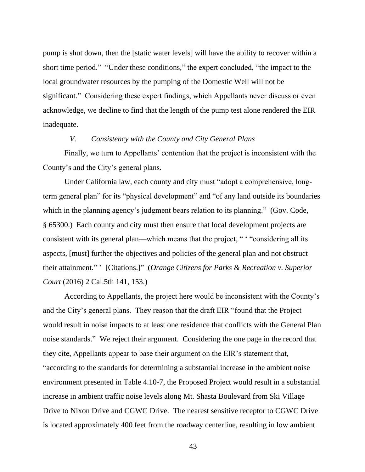pump is shut down, then the [static water levels] will have the ability to recover within a short time period." "Under these conditions," the expert concluded, "the impact to the local groundwater resources by the pumping of the Domestic Well will not be significant." Considering these expert findings, which Appellants never discuss or even acknowledge, we decline to find that the length of the pump test alone rendered the EIR inadequate.

## *V. Consistency with the County and City General Plans*

Finally, we turn to Appellants' contention that the project is inconsistent with the County's and the City's general plans.

Under California law, each county and city must "adopt a comprehensive, longterm general plan" for its "physical development" and "of any land outside its boundaries which in the planning agency's judgment bears relation to its planning." (Gov. Code, § 65300.) Each county and city must then ensure that local development projects are consistent with its general plan—which means that the project, " ' "considering all its aspects, [must] further the objectives and policies of the general plan and not obstruct their attainment." ' [Citations.]" (*Orange Citizens for Parks & Recreation v. Superior Court* (2016) 2 Cal.5th 141, 153.)

According to Appellants, the project here would be inconsistent with the County's and the City's general plans. They reason that the draft EIR "found that the Project would result in noise impacts to at least one residence that conflicts with the General Plan noise standards." We reject their argument. Considering the one page in the record that they cite, Appellants appear to base their argument on the EIR's statement that, "according to the standards for determining a substantial increase in the ambient noise environment presented in Table 4.10-7, the Proposed Project would result in a substantial increase in ambient traffic noise levels along Mt. Shasta Boulevard from Ski Village Drive to Nixon Drive and CGWC Drive. The nearest sensitive receptor to CGWC Drive is located approximately 400 feet from the roadway centerline, resulting in low ambient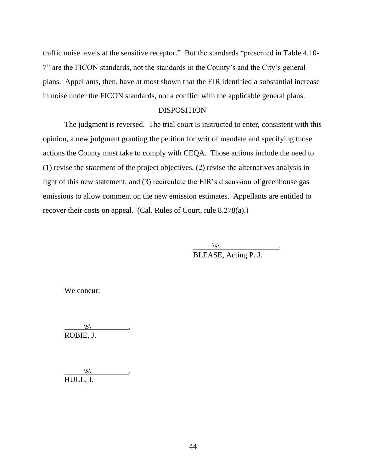traffic noise levels at the sensitive receptor." But the standards "presented in Table 4.10- 7" are the FICON standards, not the standards in the County's and the City's general plans. Appellants, then, have at most shown that the EIR identified a substantial increase in noise under the FICON standards, not a conflict with the applicable general plans.

## DISPOSITION

The judgment is reversed. The trial court is instructed to enter, consistent with this opinion, a new judgment granting the petition for writ of mandate and specifying those actions the County must take to comply with CEQA. Those actions include the need to (1) revise the statement of the project objectives, (2) revise the alternatives analysis in light of this new statement, and (3) recirculate the EIR's discussion of greenhouse gas emissions to allow comment on the new emission estimates. Appellants are entitled to recover their costs on appeal. (Cal. Rules of Court, rule 8.278(a).)

> $\vert s \vert$ , , BLEASE, Acting P. J.

We concur:

 $\langle s \rangle$ ROBIE, J.

 $\langle s \rangle$ HULL, J.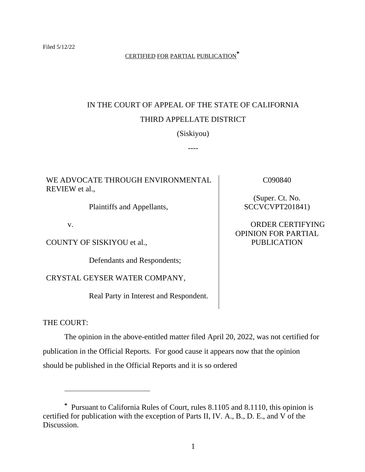## CERTIFIED FOR PARTIAL PUBLICATION**\***

# IN THE COURT OF APPEAL OF THE STATE OF CALIFORNIA THIRD APPELLATE DISTRICT

(Siskiyou)

----

## WE ADVOCATE THROUGH ENVIRONMENTAL REVIEW et al.,

Plaintiffs and Appellants,

v.

COUNTY OF SISKIYOU et al.,

Defendants and Respondents;

CRYSTAL GEYSER WATER COMPANY,

Real Party in Interest and Respondent.

C090840

(Super. Ct. No. SCCVCVPT201841)

ORDER CERTIFYING OPINION FOR PARTIAL PUBLICATION

## THE COURT:

The opinion in the above-entitled matter filed April 20, 2022, was not certified for publication in the Official Reports. For good cause it appears now that the opinion should be published in the Official Reports and it is so ordered

**<sup>\*</sup>** Pursuant to California Rules of Court, rules 8.1105 and 8.1110, this opinion is certified for publication with the exception of Parts II, IV. A., B., D. E., and V of the Discussion.